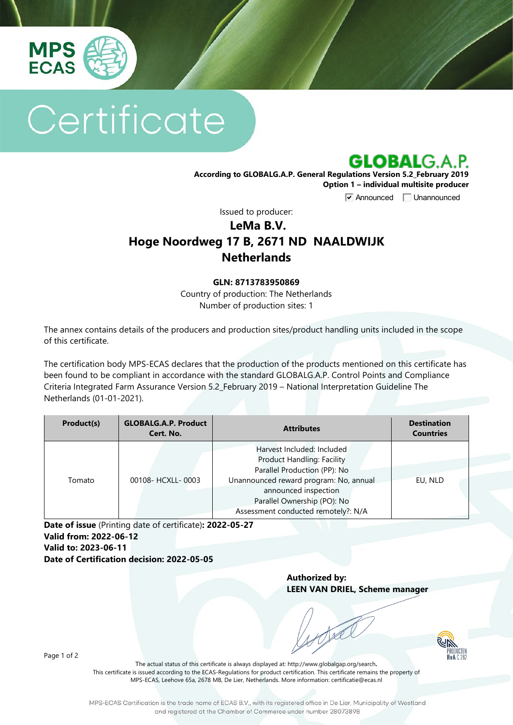

# Certificate



**According to GLOBALG.A.P. General Regulations Version 5.2\_February 2019 Option 1 – individual multisite producer**

**V** Announced **Unannounced** 

Issued to producer:

## **LeMa B.V. Hoge Noordweg 17 B, 2671 ND NAALDWIJK Netherlands**

#### **GLN: 8713783950869**

Country of production: The Netherlands Number of production sites: 1

The annex contains details of the producers and production sites/product handling units included in the scope of this certificate.

The certification body MPS-ECAS declares that the production of the products mentioned on this certificate has been found to be compliant in accordance with the standard GLOBALG.A.P. Control Points and Compliance Criteria Integrated Farm Assurance Version 5.2\_February 2019 – National Interpretation Guideline The Netherlands (01-01-2021).

| Product(s) | <b>GLOBALG.A.P. Product</b><br>Cert. No. | <b>Attributes</b>                                                                                                                                                                                                                       | <b>Destination</b><br><b>Countries</b> |
|------------|------------------------------------------|-----------------------------------------------------------------------------------------------------------------------------------------------------------------------------------------------------------------------------------------|----------------------------------------|
| Tomato     | 00108- HCXLL-0003                        | Harvest Included: Included<br><b>Product Handling: Facility</b><br>Parallel Production (PP): No<br>Unannounced reward program: No, annual<br>announced inspection<br>Parallel Ownership (PO): No<br>Assessment conducted remotely?: N/A | EU, NLD                                |

**Date of issue** (Printing date of certificate)**: 2022-05-27 Valid from: 2022-06-12 Valid to: 2023-06-11 Date of Certification decision: 2022-05-05**

> **Authorized by: LEEN VAN DRIEL, Scheme manager**



Page 1 of 2

The actual status of this certificate is always displayed at: <http://www.globalgap.org/search>**.**  This certificate is issued according to the ECAS-Regulations for product certification. This certificate remains the property of MPS-ECAS, Leehove 65a, 2678 MB, De Lier, Netherlands. More information[: certificatie@ecas.nl](mailto:certificatie@ecas.nl)